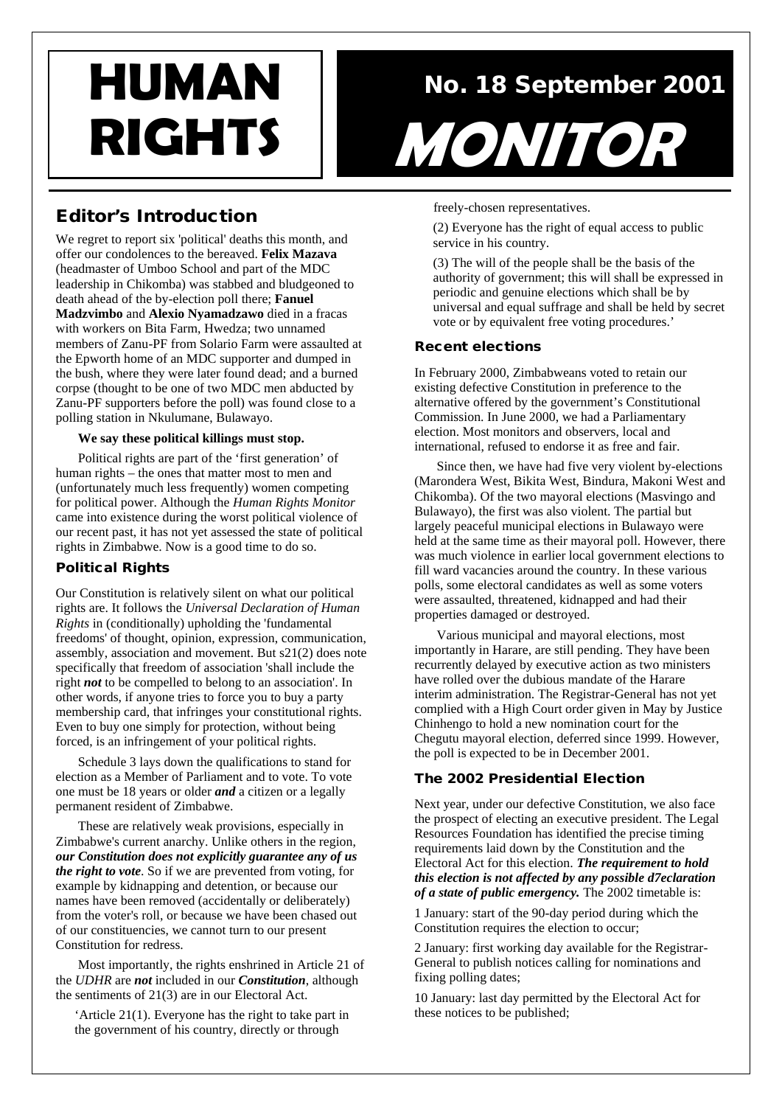# Editor's Introduction

We regret to report six 'political' deaths this month, and offer our condolences to the bereaved. **Felix Mazava** (headmaster of Umboo School and part of the MDC leadership in Chikomba) was stabbed and bludgeoned to death ahead of the by-election poll there; **Fanuel Madzvimbo** and **Alexio Nyamadzawo** died in a fracas with workers on Bita Farm, Hwedza; two unnamed members of Zanu-PF from Solario Farm were assaulted at the Epworth home of an MDC supporter and dumped in the bush, where they were later found dead; and a burned corpse (thought to be one of two MDC men abducted by Zanu-PF supporters before the poll) was found close to a polling station in Nkulumane, Bulawayo.

#### **We say these political killings must stop.**

Political rights are part of the 'first generation' of human rights – the ones that matter most to men and (unfortunately much less frequently) women competing for political power. Although the *Human Rights Monitor* came into existence during the worst political violence of our recent past, it has not yet assessed the state of political rights in Zimbabwe. Now is a good time to do so.

#### Political Rights

Our Constitution is relatively silent on what our political rights are. It follows the *Universal Declaration of Human Rights* in (conditionally) upholding the 'fundamental freedoms' of thought, opinion, expression, communication, assembly, association and movement. But s21(2) does note specifically that freedom of association 'shall include the right *not* to be compelled to belong to an association'. In other words, if anyone tries to force you to buy a party membership card, that infringes your constitutional rights. Even to buy one simply for protection, without being forced, is an infringement of your political rights.

Schedule 3 lays down the qualifications to stand for election as a Member of Parliament and to vote. To vote one must be 18 years or older *and* a citizen or a legally permanent resident of Zimbabwe.

These are relatively weak provisions, especially in Zimbabwe's current anarchy. Unlike others in the region, *our Constitution does not explicitly guarantee any of us the right to vote*. So if we are prevented from voting, for example by kidnapping and detention, or because our names have been removed (accidentally or deliberately) from the voter's roll, or because we have been chased out of our constituencies, we cannot turn to our present Constitution for redress.

Most importantly, the rights enshrined in Article 21 of the *UDHR* are *not* included in our *Constitution*, although the sentiments of 21(3) are in our Electoral Act.

'Article 21(1). Everyone has the right to take part in the government of his country, directly or through

# **HUMAN** No. 18 September 2001 RIGHTS MONITOR

freely-chosen representatives.

(2) Everyone has the right of equal access to public service in his country.

(3) The will of the people shall be the basis of the authority of government; this will shall be expressed in periodic and genuine elections which shall be by universal and equal suffrage and shall be held by secret vote or by equivalent free voting procedures.'

#### Recent elections

In February 2000, Zimbabweans voted to retain our existing defective Constitution in preference to the alternative offered by the government's Constitutional Commission. In June 2000, we had a Parliamentary election. Most monitors and observers, local and international, refused to endorse it as free and fair.

Since then, we have had five very violent by-elections (Marondera West, Bikita West, Bindura, Makoni West and Chikomba). Of the two mayoral elections (Masvingo and Bulawayo), the first was also violent. The partial but largely peaceful municipal elections in Bulawayo were held at the same time as their mayoral poll. However, there was much violence in earlier local government elections to fill ward vacancies around the country. In these various polls, some electoral candidates as well as some voters were assaulted, threatened, kidnapped and had their properties damaged or destroyed.

Various municipal and mayoral elections, most importantly in Harare, are still pending. They have been recurrently delayed by executive action as two ministers have rolled over the dubious mandate of the Harare interim administration. The Registrar-General has not yet complied with a High Court order given in May by Justice Chinhengo to hold a new nomination court for the Chegutu mayoral election, deferred since 1999. However, the poll is expected to be in December 2001.

#### The 2002 Presidential Election

Next year, under our defective Constitution, we also face the prospect of electing an executive president. The Legal Resources Foundation has identified the precise timing requirements laid down by the Constitution and the Electoral Act for this election. *The requirement to hold this election is not affected by any possible d7eclaration of a state of public emergency.* The 2002 timetable is:

1 January: start of the 90-day period during which the Constitution requires the election to occur;

2 January: first working day available for the Registrar-General to publish notices calling for nominations and fixing polling dates;

10 January: last day permitted by the Electoral Act for these notices to be published;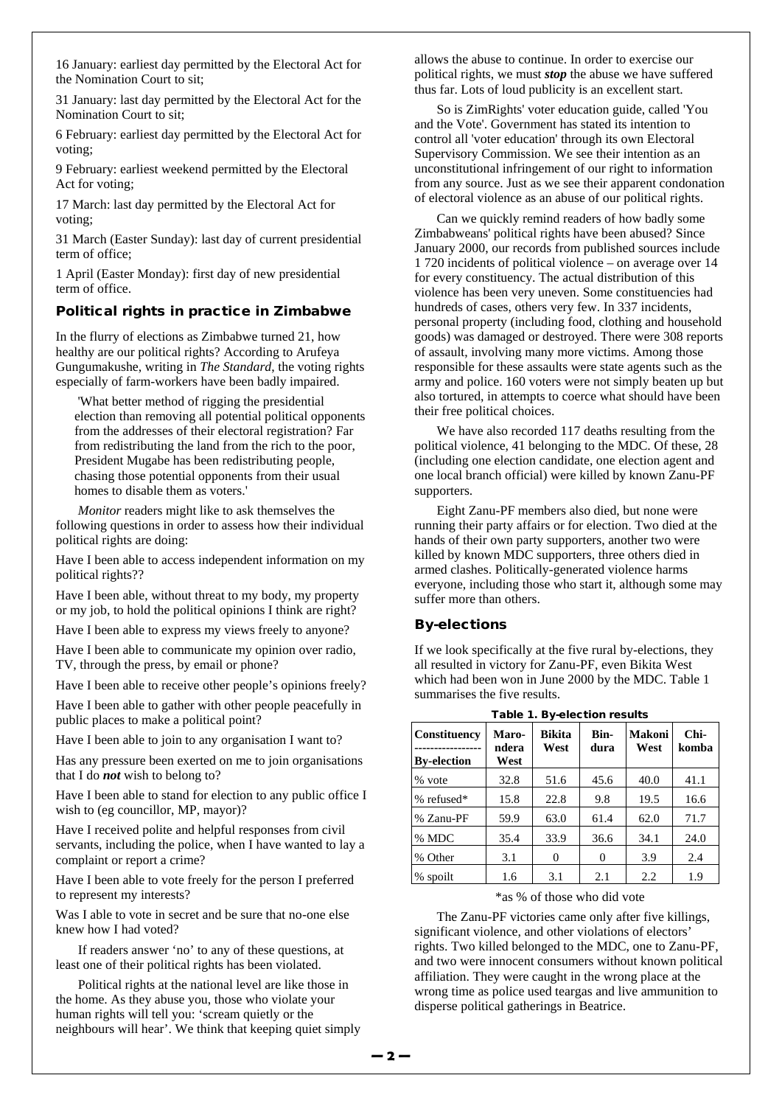16 January: earliest day permitted by the Electoral Act for the Nomination Court to sit;

31 January: last day permitted by the Electoral Act for the Nomination Court to sit;

6 February: earliest day permitted by the Electoral Act for voting;

9 February: earliest weekend permitted by the Electoral Act for voting;

17 March: last day permitted by the Electoral Act for voting;

31 March (Easter Sunday): last day of current presidential term of office;

1 April (Easter Monday): first day of new presidential term of office.

#### Political rights in practice in Zimbabwe

In the flurry of elections as Zimbabwe turned 21, how healthy are our political rights? According to Arufeya Gungumakushe, writing in *The Standard*, the voting rights especially of farm-workers have been badly impaired.

'What better method of rigging the presidential election than removing all potential political opponents from the addresses of their electoral registration? Far from redistributing the land from the rich to the poor, President Mugabe has been redistributing people, chasing those potential opponents from their usual homes to disable them as voters.'

*Monitor* readers might like to ask themselves the following questions in order to assess how their individual political rights are doing:

Have I been able to access independent information on my political rights??

Have I been able, without threat to my body, my property or my job, to hold the political opinions I think are right?

Have I been able to express my views freely to anyone?

Have I been able to communicate my opinion over radio, TV, through the press, by email or phone?

Have I been able to receive other people's opinions freely?

Have I been able to gather with other people peacefully in public places to make a political point?

Have I been able to join to any organisation I want to?

Has any pressure been exerted on me to join organisations that I do *not* wish to belong to?

Have I been able to stand for election to any public office I wish to (eg councillor, MP, mayor)?

Have I received polite and helpful responses from civil servants, including the police, when I have wanted to lay a complaint or report a crime?

Have I been able to vote freely for the person I preferred to represent my interests?

Was I able to vote in secret and be sure that no-one else knew how I had voted?

If readers answer 'no' to any of these questions, at least one of their political rights has been violated.

Political rights at the national level are like those in the home. As they abuse you, those who violate your human rights will tell you: 'scream quietly or the neighbours will hear'. We think that keeping quiet simply allows the abuse to continue. In order to exercise our political rights, we must *stop* the abuse we have suffered thus far. Lots of loud publicity is an excellent start.

So is ZimRights' voter education guide, called 'You and the Vote'. Government has stated its intention to control all 'voter education' through its own Electoral Supervisory Commission. We see their intention as an unconstitutional infringement of our right to information from any source. Just as we see their apparent condonation of electoral violence as an abuse of our political rights.

Can we quickly remind readers of how badly some Zimbabweans' political rights have been abused? Since January 2000, our records from published sources include 1 720 incidents of political violence – on average over 14 for every constituency. The actual distribution of this violence has been very uneven. Some constituencies had hundreds of cases, others very few. In 337 incidents, personal property (including food, clothing and household goods) was damaged or destroyed. There were 308 reports of assault, involving many more victims. Among those responsible for these assaults were state agents such as the army and police. 160 voters were not simply beaten up but also tortured, in attempts to coerce what should have been their free political choices.

We have also recorded 117 deaths resulting from the political violence, 41 belonging to the MDC. Of these, 28 (including one election candidate, one election agent and one local branch official) were killed by known Zanu-PF supporters.

Eight Zanu-PF members also died, but none were running their party affairs or for election. Two died at the hands of their own party supporters, another two were killed by known MDC supporters, three others died in armed clashes. Politically-generated violence harms everyone, including those who start it, although some may suffer more than others.

#### By-elections

If we look specifically at the five rural by-elections, they all resulted in victory for Zanu-PF, even Bikita West which had been won in June 2000 by the MDC. Table 1 summarises the five results.

| rable r. By-election results       |                        |                       |              |                |               |  |  |
|------------------------------------|------------------------|-----------------------|--------------|----------------|---------------|--|--|
| Constituency<br><b>By-election</b> | Maro-<br>ndera<br>West | <b>Bikita</b><br>West | Bin-<br>dura | Makoni<br>West | Chi-<br>komba |  |  |
| % vote                             | 32.8                   | 51.6                  | 45.6         | 40.0           | 41.1          |  |  |
| % refused*                         | 15.8                   | 22.8                  | 9.8          | 19.5           | 16.6          |  |  |
| % Zanu-PF                          | 59.9                   | 63.0                  | 61.4         | 62.0           | 71.7          |  |  |
| % MDC                              | 35.4                   | 33.9                  | 36.6         | 34.1           | 24.0          |  |  |
| % Other                            | 3.1                    | $\theta$              | 0            | 3.9            | 2.4           |  |  |
| % spoilt                           | 1.6                    | 3.1                   | 2.1          | 2.2            | 1.9           |  |  |

Table 1. By-election results

\*as % of those who did vote

The Zanu-PF victories came only after five killings, significant violence, and other violations of electors' rights. Two killed belonged to the MDC, one to Zanu-PF, and two were innocent consumers without known political affiliation. They were caught in the wrong place at the wrong time as police used teargas and live ammunition to disperse political gatherings in Beatrice.

**— 2 —**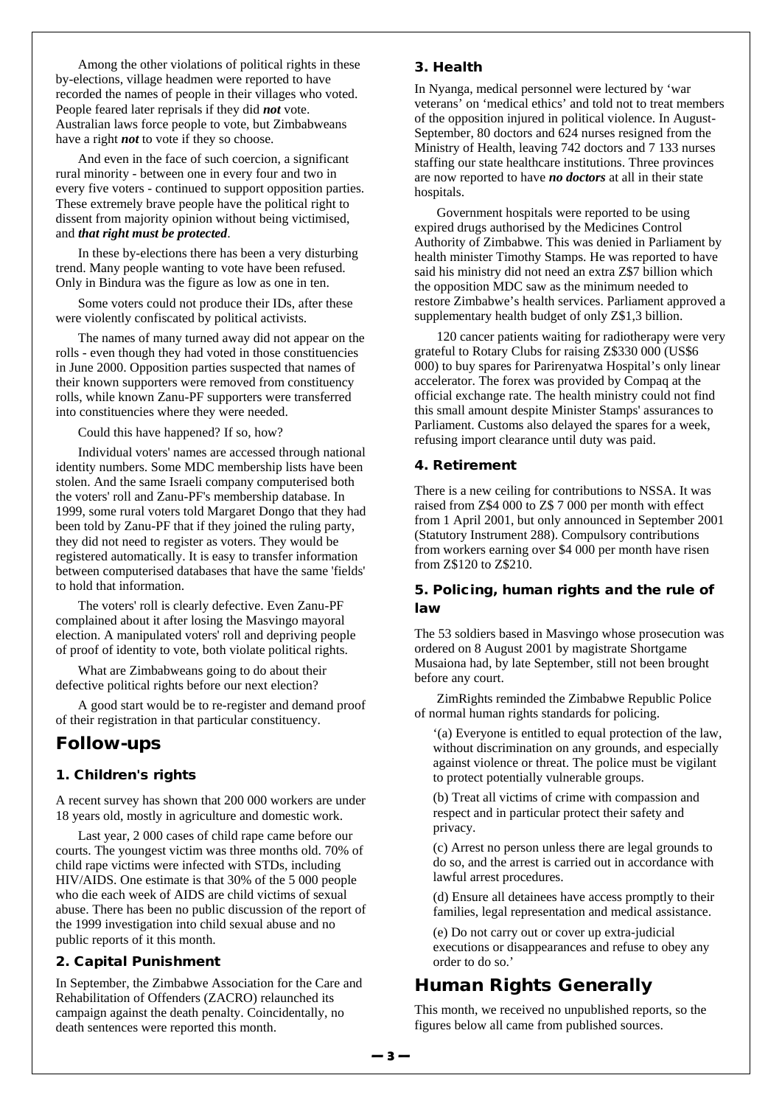Among the other violations of political rights in these by-elections, village headmen were reported to have recorded the names of people in their villages who voted. People feared later reprisals if they did *not* vote. Australian laws force people to vote, but Zimbabweans have a right *not* to vote if they so choose.

And even in the face of such coercion, a significant rural minority - between one in every four and two in every five voters - continued to support opposition parties. These extremely brave people have the political right to dissent from majority opinion without being victimised, and *that right must be protected*.

In these by-elections there has been a very disturbing trend. Many people wanting to vote have been refused. Only in Bindura was the figure as low as one in ten.

Some voters could not produce their IDs, after these were violently confiscated by political activists.

The names of many turned away did not appear on the rolls - even though they had voted in those constituencies in June 2000. Opposition parties suspected that names of their known supporters were removed from constituency rolls, while known Zanu-PF supporters were transferred into constituencies where they were needed.

Could this have happened? If so, how?

Individual voters' names are accessed through national identity numbers. Some MDC membership lists have been stolen. And the same Israeli company computerised both the voters' roll and Zanu-PF's membership database. In 1999, some rural voters told Margaret Dongo that they had been told by Zanu-PF that if they joined the ruling party, they did not need to register as voters. They would be registered automatically. It is easy to transfer information between computerised databases that have the same 'fields' to hold that information.

The voters' roll is clearly defective. Even Zanu-PF complained about it after losing the Masvingo mayoral election. A manipulated voters' roll and depriving people of proof of identity to vote, both violate political rights.

What are Zimbabweans going to do about their defective political rights before our next election?

A good start would be to re-register and demand proof of their registration in that particular constituency.

### Follow-ups

#### 1. Children's rights

A recent survey has shown that 200 000 workers are under 18 years old, mostly in agriculture and domestic work.

Last year, 2 000 cases of child rape came before our courts. The youngest victim was three months old. 70% of child rape victims were infected with STDs, including HIV/AIDS. One estimate is that 30% of the 5 000 people who die each week of AIDS are child victims of sexual abuse. There has been no public discussion of the report of the 1999 investigation into child sexual abuse and no public reports of it this month.

#### 2. Capital Punishment

In September, the Zimbabwe Association for the Care and Rehabilitation of Offenders (ZACRO) relaunched its campaign against the death penalty. Coincidentally, no death sentences were reported this month.

#### 3. Health

In Nyanga, medical personnel were lectured by 'war veterans' on 'medical ethics' and told not to treat members of the opposition injured in political violence. In August-September, 80 doctors and 624 nurses resigned from the Ministry of Health, leaving 742 doctors and 7 133 nurses staffing our state healthcare institutions. Three provinces are now reported to have *no doctors* at all in their state hospitals.

Government hospitals were reported to be using expired drugs authorised by the Medicines Control Authority of Zimbabwe. This was denied in Parliament by health minister Timothy Stamps. He was reported to have said his ministry did not need an extra Z\$7 billion which the opposition MDC saw as the minimum needed to restore Zimbabwe's health services. Parliament approved a supplementary health budget of only Z\$1,3 billion.

120 cancer patients waiting for radiotherapy were very grateful to Rotary Clubs for raising Z\$330 000 (US\$6 000) to buy spares for Parirenyatwa Hospital's only linear accelerator. The forex was provided by Compaq at the official exchange rate. The health ministry could not find this small amount despite Minister Stamps' assurances to Parliament. Customs also delayed the spares for a week, refusing import clearance until duty was paid.

#### 4. Retirement

There is a new ceiling for contributions to NSSA. It was raised from Z\$4 000 to Z\$ 7 000 per month with effect from 1 April 2001, but only announced in September 2001 (Statutory Instrument 288). Compulsory contributions from workers earning over \$4 000 per month have risen from Z\$120 to Z\$210.

#### 5. Policing, human rights and the rule of law

The 53 soldiers based in Masvingo whose prosecution was ordered on 8 August 2001 by magistrate Shortgame Musaiona had, by late September, still not been brought before any court.

ZimRights reminded the Zimbabwe Republic Police of normal human rights standards for policing.

'(a) Everyone is entitled to equal protection of the law, without discrimination on any grounds, and especially against violence or threat. The police must be vigilant to protect potentially vulnerable groups.

(b) Treat all victims of crime with compassion and respect and in particular protect their safety and privacy.

(c) Arrest no person unless there are legal grounds to do so, and the arrest is carried out in accordance with lawful arrest procedures.

(d) Ensure all detainees have access promptly to their families, legal representation and medical assistance.

(e) Do not carry out or cover up extra-judicial executions or disappearances and refuse to obey any order to do so.'

## Human Rights Generally

This month, we received no unpublished reports, so the figures below all came from published sources.

**— 3 —**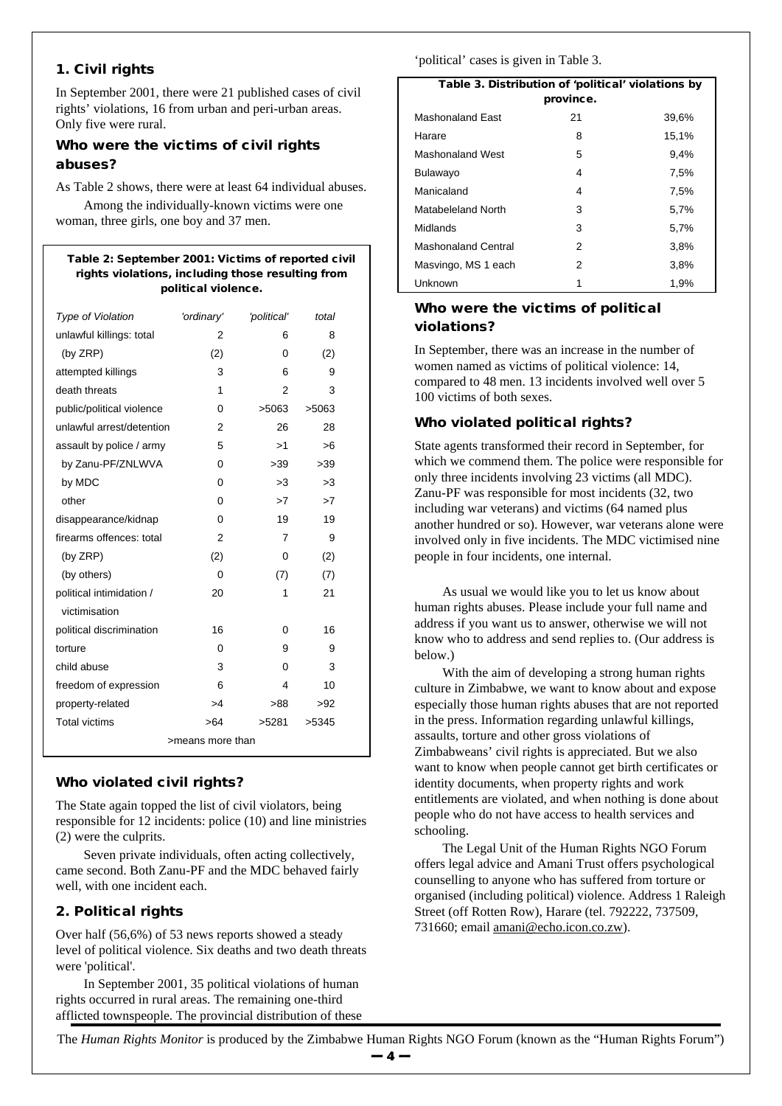#### 1. Civil rights

In September 2001, there were 21 published cases of civil rights' violations, 16 from urban and peri-urban areas. Only five were rural.

#### Who were the victims of civil rights abuses?

As Table 2 shows, there were at least 64 individual abuses. Among the individually-known victims were one woman, three girls, one boy and 37 men.

#### Table 2: September 2001: Victims of reported civil rights violations, including those resulting from political violence.

| <b>Type of Violation</b>  | 'ordinary'     | 'political' | total |  |
|---------------------------|----------------|-------------|-------|--|
| unlawful killings: total  | 2              | 6           | 8     |  |
| (by ZRP)                  | (2)            | 0           | (2)   |  |
| attempted killings        | 3              | 6           | 9     |  |
| death threats             | 1              | 2           | 3     |  |
| public/political violence | 0              | >5063       | >5063 |  |
| unlawful arrest/detention | $\overline{2}$ | 26          | 28    |  |
| assault by police / army  | 5              | >1          | >6    |  |
| by Zanu-PF/ZNLWVA         | 0              | >39         | >39   |  |
| by MDC                    | $\Omega$       | >3          | >3    |  |
| other                     | 0              | >7          | >7    |  |
| disappearance/kidnap      | 0              | 19          | 19    |  |
| firearms offences: total  | $\overline{2}$ | 7           | 9     |  |
| (by ZRP)                  | (2)            | 0           | (2)   |  |
| (by others)               | 0              | (7)         | (7)   |  |
| political intimidation /  | 20             | 1           | 21    |  |
| victimisation             |                |             |       |  |
| political discrimination  | 16             | 0           | 16    |  |
| torture                   | 0              | 9           | 9     |  |
| child abuse               | 3              | 0           | 3     |  |
| freedom of expression     | 6              | 4           | 10    |  |
| property-related          | >4             | >88         | >92   |  |
| <b>Total victims</b>      | >64            | >5281       | >5345 |  |
| >means more than          |                |             |       |  |

#### Who violated civil rights?

The State again topped the list of civil violators, being responsible for 12 incidents: police (10) and line ministries (2) were the culprits.

Seven private individuals, often acting collectively, came second. Both Zanu-PF and the MDC behaved fairly well, with one incident each.

### 2. Political rights

Over half (56,6%) of 53 news reports showed a steady level of political violence. Six deaths and two death threats were 'political'.

In September 2001, 35 political violations of human rights occurred in rural areas. The remaining one-third afflicted townspeople. The provincial distribution of these 'political' cases is given in Table 3.

| Table 3. Distribution of 'political' violations by |    |       |  |  |  |  |  |
|----------------------------------------------------|----|-------|--|--|--|--|--|
| province.                                          |    |       |  |  |  |  |  |
| Mashonaland East                                   | 21 | 39,6% |  |  |  |  |  |
| Harare                                             | 8  | 15,1% |  |  |  |  |  |
| Mashonaland West                                   | 5  | 9,4%  |  |  |  |  |  |
| Bulawayo                                           | 4  | 7,5%  |  |  |  |  |  |
| Manicaland                                         | 4  | 7,5%  |  |  |  |  |  |
| Matabeleland North                                 | 3  | 5,7%  |  |  |  |  |  |
| Midlands                                           | 3  | 5,7%  |  |  |  |  |  |
| <b>Mashonaland Central</b>                         | 2  | 3,8%  |  |  |  |  |  |
| Masvingo, MS 1 each                                | 2  | 3,8%  |  |  |  |  |  |
| Unknown                                            | 1  | 1,9%  |  |  |  |  |  |

#### Who were the victims of political violations?

In September, there was an increase in the number of women named as victims of political violence: 14, compared to 48 men. 13 incidents involved well over 5 100 victims of both sexes.

#### Who violated political rights?

State agents transformed their record in September, for which we commend them. The police were responsible for only three incidents involving 23 victims (all MDC). Zanu-PF was responsible for most incidents (32, two including war veterans) and victims (64 named plus another hundred or so). However, war veterans alone were involved only in five incidents. The MDC victimised nine people in four incidents, one internal.

As usual we would like you to let us know about human rights abuses. Please include your full name and address if you want us to answer, otherwise we will not know who to address and send replies to. (Our address is below.)

With the aim of developing a strong human rights culture in Zimbabwe, we want to know about and expose especially those human rights abuses that are not reported in the press. Information regarding unlawful killings, assaults, torture and other gross violations of Zimbabweans' civil rights is appreciated. But we also want to know when people cannot get birth certificates or identity documents, when property rights and work entitlements are violated, and when nothing is done about people who do not have access to health services and schooling.

The Legal Unit of the Human Rights NGO Forum offers legal advice and Amani Trust offers psychological counselling to anyone who has suffered from torture or organised (including political) violence. Address 1 Raleigh Street (off Rotten Row), Harare (tel. 792222, 737509, 731660; email amani@echo.icon.co.zw).

The *Human Rights Monitor* is produced by the Zimbabwe Human Rights NGO Forum (known as the "Human Rights Forum")